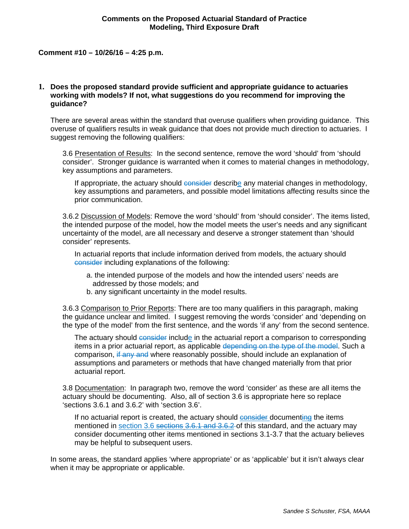#### **Comment #10 – 10/26/16 – 4:25 p.m.**

## **1. Does the proposed standard provide sufficient and appropriate guidance to actuaries working with models? If not, what suggestions do you recommend for improving the guidance?**

There are several areas within the standard that overuse qualifiers when providing guidance. This overuse of qualifiers results in weak guidance that does not provide much direction to actuaries. I suggest removing the following qualifiers:

3.6 Presentation of Results: In the second sentence, remove the word 'should' from 'should consider'. Stronger guidance is warranted when it comes to material changes in methodology, key assumptions and parameters.

If appropriate, the actuary should consider describe any material changes in methodology, key assumptions and parameters, and possible model limitations affecting results since the prior communication.

3.6.2 Discussion of Models: Remove the word 'should' from 'should consider'. The items listed, the intended purpose of the model, how the model meets the user's needs and any significant uncertainty of the model, are all necessary and deserve a stronger statement than 'should consider' represents.

In actuarial reports that include information derived from models, the actuary should consider including explanations of the following:

- a. the intended purpose of the models and how the intended users' needs are addressed by those models; and
- b. any significant uncertainty in the model results.

3.6.3 Comparison to Prior Reports: There are too many qualifiers in this paragraph, making the guidance unclear and limited. I suggest removing the words 'consider' and 'depending on the type of the model' from the first sentence, and the words 'if any' from the second sentence.

The actuary should consider include in the actuarial report a comparison to corresponding items in a prior actuarial report, as applicable depending on the type of the model. Such a comparison, if any and where reasonably possible, should include an explanation of assumptions and parameters or methods that have changed materially from that prior actuarial report.

3.8 Documentation: In paragraph two, remove the word 'consider' as these are all items the actuary should be documenting. Also, all of section 3.6 is appropriate here so replace 'sections 3.6.1 and 3.6.2' with 'section 3.6'.

If no actuarial report is created, the actuary should consider documenting the items mentioned in section 3.6 sections 3.6.1 and 3.6.2 of this standard, and the actuary may consider documenting other items mentioned in sections 3.1-3.7 that the actuary believes may be helpful to subsequent users.

In some areas, the standard applies 'where appropriate' or as 'applicable' but it isn't always clear when it may be appropriate or applicable.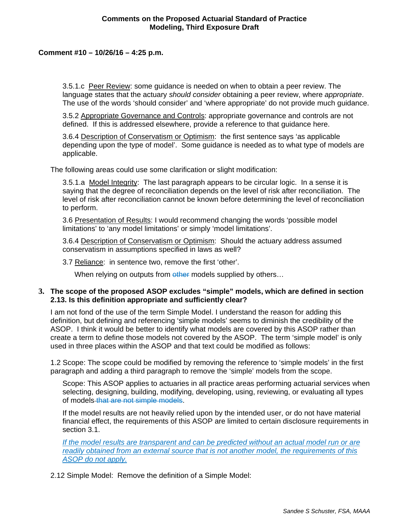# **Comments on the Proposed Actuarial Standard of Practice Modeling, Third Exposure Draft**

## **Comment #10 – 10/26/16 – 4:25 p.m.**

3.5.1.c Peer Review: some guidance is needed on when to obtain a peer review. The language states that the actuary *should consider* obtaining a peer review, where *appropriate*. The use of the words 'should consider' and 'where appropriate' do not provide much guidance.

3.5.2 Appropriate Governance and Controls: appropriate governance and controls are not defined. If this is addressed elsewhere, provide a reference to that guidance here.

3.6.4 Description of Conservatism or Optimism: the first sentence says 'as applicable depending upon the type of model'. Some guidance is needed as to what type of models are applicable.

The following areas could use some clarification or slight modification:

3.5.1.a Model Integrity: The last paragraph appears to be circular logic. In a sense it is saying that the degree of reconciliation depends on the level of risk after reconciliation. The level of risk after reconciliation cannot be known before determining the level of reconciliation to perform.

3.6 Presentation of Results: I would recommend changing the words 'possible model limitations' to 'any model limitations' or simply 'model limitations'.

3.6.4 Description of Conservatism or Optimism: Should the actuary address assumed conservatism in assumptions specified in laws as well?

3.7 Reliance: in sentence two, remove the first 'other'.

When relying on outputs from other models supplied by others...

#### **3. The scope of the proposed ASOP excludes "simple" models, which are defined in section 2.13. Is this definition appropriate and sufficiently clear?**

I am not fond of the use of the term Simple Model. I understand the reason for adding this definition, but defining and referencing 'simple models' seems to diminish the credibility of the ASOP. I think it would be better to identify what models are covered by this ASOP rather than create a term to define those models not covered by the ASOP. The term 'simple model' is only used in three places within the ASOP and that text could be modified as follows:

1.2 Scope: The scope could be modified by removing the reference to 'simple models' in the first paragraph and adding a third paragraph to remove the 'simple' models from the scope.

Scope: This ASOP applies to actuaries in all practice areas performing actuarial services when selecting, designing, building, modifying, developing, using, reviewing, or evaluating all types of models that are not simple models.

If the model results are not heavily relied upon by the intended user, or do not have material financial effect, the requirements of this ASOP are limited to certain disclosure requirements in section 3.1.

*If the model results are transparent and can be predicted without an actual model run or are readily obtained from an external source that is not another model, the requirements of this ASOP do not apply.* 

2.12 Simple Model: Remove the definition of a Simple Model: